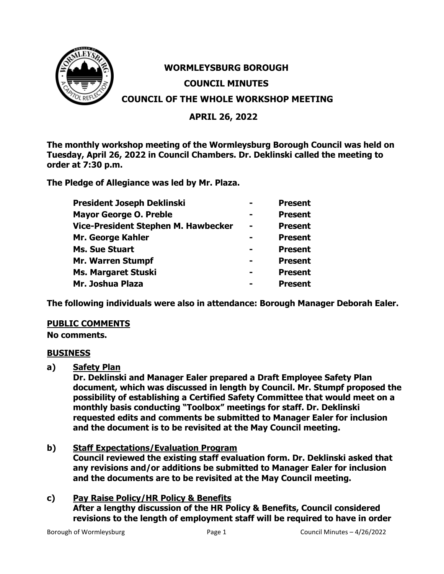

# **WORMLEYSBURG BOROUGH COUNCIL MINUTES COUNCIL OF THE WHOLE WORKSHOP MEETING**

# **APRIL 26, 2022**

**The monthly workshop meeting of the Wormleysburg Borough Council was held on Tuesday, April 26, 2022 in Council Chambers. Dr. Deklinski called the meeting to order at 7:30 p.m.**

**The Pledge of Allegiance was led by Mr. Plaza.**

| <b>President Joseph Deklinski</b>   |                | <b>Present</b> |
|-------------------------------------|----------------|----------------|
| <b>Mayor George O. Preble</b>       |                | <b>Present</b> |
| Vice-President Stephen M. Hawbecker | $\blacksquare$ | <b>Present</b> |
| Mr. George Kahler                   |                | <b>Present</b> |
| <b>Ms. Sue Stuart</b>               |                | <b>Present</b> |
| Mr. Warren Stumpf                   |                | <b>Present</b> |
| <b>Ms. Margaret Stuski</b>          |                | <b>Present</b> |
| Mr. Joshua Plaza                    |                | <b>Present</b> |

**The following individuals were also in attendance: Borough Manager Deborah Ealer.**

# **PUBLIC COMMENTS**

**No comments.**

# **BUSINESS**

**a) Safety Plan**

**Dr. Deklinski and Manager Ealer prepared a Draft Employee Safety Plan document, which was discussed in length by Council. Mr. Stumpf proposed the possibility of establishing a Certified Safety Committee that would meet on a monthly basis conducting "Toolbox" meetings for staff. Dr. Deklinski requested edits and comments be submitted to Manager Ealer for inclusion and the document is to be revisited at the May Council meeting.**

**b) Staff Expectations/Evaluation Program Council reviewed the existing staff evaluation form. Dr. Deklinski asked that any revisions and/or additions be submitted to Manager Ealer for inclusion and the documents are to be revisited at the May Council meeting.**

# **c) Pay Raise Policy/HR Policy & Benefits After a lengthy discussion of the HR Policy & Benefits, Council considered revisions to the length of employment staff will be required to have in order**